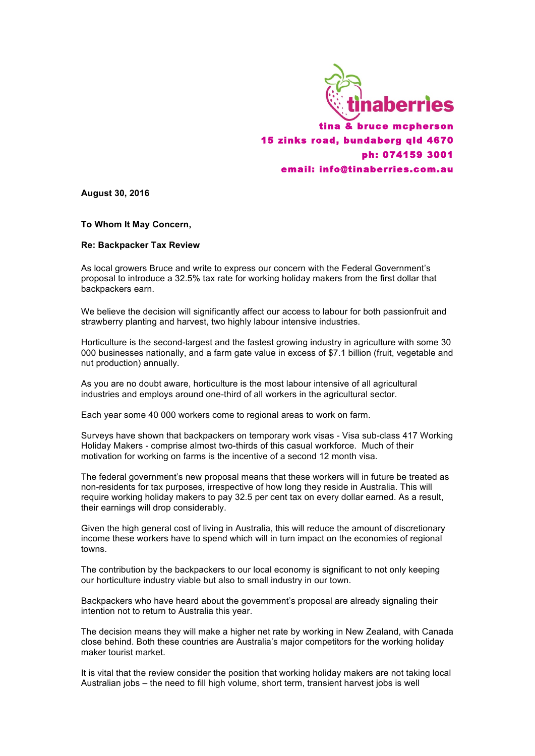

**August 30, 2016**

**To Whom It May Concern,**

## **Re: Backpacker Tax Review**

As local growers Bruce and write to express our concern with the Federal Government's proposal to introduce a 32.5% tax rate for working holiday makers from the first dollar that backpackers earn.

We believe the decision will significantly affect our access to labour for both passionfruit and strawberry planting and harvest, two highly labour intensive industries.

Horticulture is the second-largest and the fastest growing industry in agriculture with some 30 000 businesses nationally, and a farm gate value in excess of \$7.1 billion (fruit, vegetable and nut production) annually.

As you are no doubt aware, horticulture is the most labour intensive of all agricultural industries and employs around one-third of all workers in the agricultural sector.

Each year some 40 000 workers come to regional areas to work on farm.

Surveys have shown that backpackers on temporary work visas - Visa sub-class 417 Working Holiday Makers - comprise almost two-thirds of this casual workforce. Much of their motivation for working on farms is the incentive of a second 12 month visa.

The federal government's new proposal means that these workers will in future be treated as non-residents for tax purposes, irrespective of how long they reside in Australia. This will require working holiday makers to pay 32.5 per cent tax on every dollar earned. As a result, their earnings will drop considerably.

Given the high general cost of living in Australia, this will reduce the amount of discretionary income these workers have to spend which will in turn impact on the economies of regional towns.

The contribution by the backpackers to our local economy is significant to not only keeping our horticulture industry viable but also to small industry in our town.

Backpackers who have heard about the government's proposal are already signaling their intention not to return to Australia this year.

The decision means they will make a higher net rate by working in New Zealand, with Canada close behind. Both these countries are Australia's major competitors for the working holiday maker tourist market.

It is vital that the review consider the position that working holiday makers are not taking local Australian jobs – the need to fill high volume, short term, transient harvest jobs is well